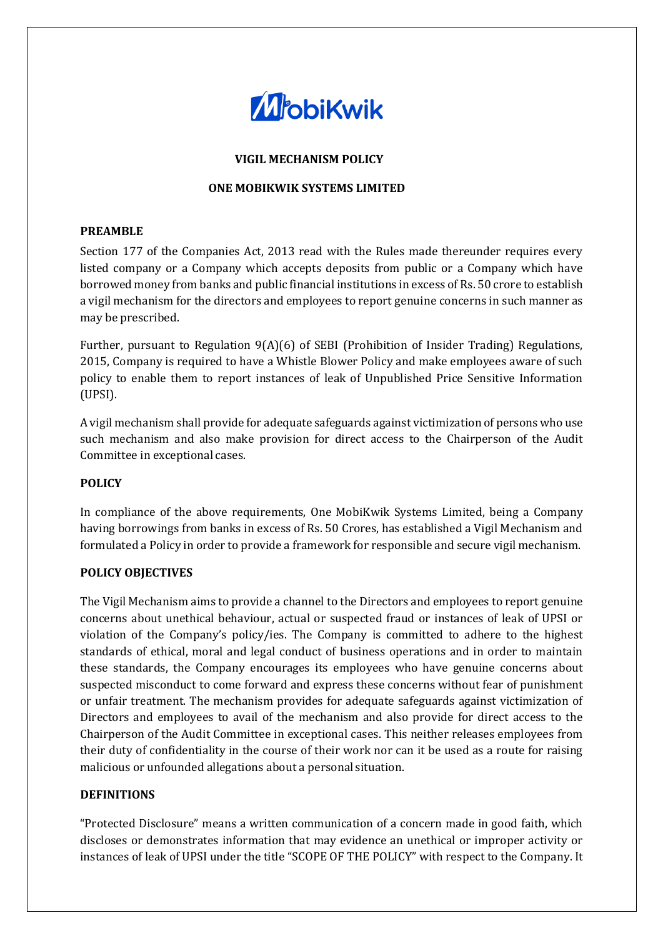

## **VIGIL MECHANISM POLICY**

### **ONE MOBIKWIK SYSTEMS LIMITED**

### **PREAMBLE**

Section 177 of the Companies Act, 2013 read with the Rules made thereunder requires every listed company or a Company which accepts deposits from public or a Company which have borrowed money from banks and public financial institutions in excess of Rs. 50 crore to establish a vigil mechanism for the directors and employees to report genuine concerns in such manner as may be prescribed.

Further, pursuant to Regulation 9(A)(6) of SEBI (Prohibition of Insider Trading) Regulations, 2015, Company is required to have a Whistle Blower Policy and make employees aware of such policy to enable them to report instances of leak of Unpublished Price Sensitive Information (UPSI).

A vigil mechanism shall provide for adequate safeguards against victimization of persons who use such mechanism and also make provision for direct access to the Chairperson of the Audit Committee in exceptional cases.

## **POLICY**

In compliance of the above requirements, One MobiKwik Systems Limited, being a Company having borrowings from banks in excess of Rs. 50 Crores, has established a Vigil Mechanism and formulated a Policy in order to provide a framework for responsible and secure vigil mechanism.

## **POLICY OBJECTIVES**

The Vigil Mechanism aims to provide a channel to the Directors and employees to report genuine concerns about unethical behaviour, actual or suspected fraud or instances of leak of UPSI or violation of the Company's policy/ies. The Company is committed to adhere to the highest standards of ethical, moral and legal conduct of business operations and in order to maintain these standards, the Company encourages its employees who have genuine concerns about suspected misconduct to come forward and express these concerns without fear of punishment or unfair treatment. The mechanism provides for adequate safeguards against victimization of Directors and employees to avail of the mechanism and also provide for direct access to the Chairperson of the Audit Committee in exceptional cases. This neither releases employees from their duty of confidentiality in the course of their work nor can it be used as a route for raising malicious or unfounded allegations about a personal situation.

#### **DEFINITIONS**

"Protected Disclosure" means a written communication of a concern made in good faith, which discloses or demonstrates information that may evidence an unethical or improper activity or instances of leak of UPSI under the title "SCOPE OF THE POLICY" with respect to the Company. It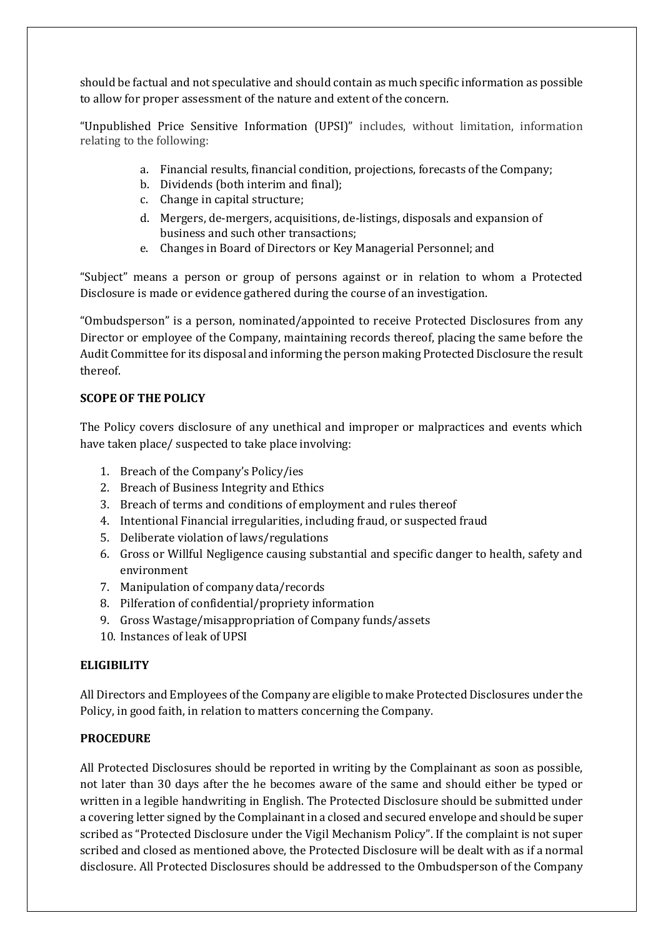should be factual and not speculative and should contain as much specific information as possible to allow for proper assessment of the nature and extent of the concern.

"Unpublished Price Sensitive Information (UPSI)" includes, without limitation, information relating to the following:

- a. Financial results, financial condition, projections, forecasts of theCompany;
- b. Dividends (both interim and final);
- c. Change in capital structure;
- d. Mergers, de-mergers, acquisitions, de-listings, disposals and expansion of business and such other transactions;
- e. Changes in Board of Directors or Key Managerial Personnel; and

"Subject" means a person or group of persons against or in relation to whom a Protected Disclosure is made or evidence gathered during the course of an investigation.

"Ombudsperson" is a person, nominated/appointed to receive Protected Disclosures from any Director or employee of the Company, maintaining records thereof, placing the same before the Audit Committee for its disposal and informing the person making Protected Disclosure the result thereof.

# **SCOPE OF THE POLICY**

The Policy covers disclosure of any unethical and improper or malpractices and events which have taken place/ suspected to take place involving:

- 1. Breach of the Company's Policy/ies
- 2. Breach of Business Integrity and Ethics
- 3. Breach of terms and conditions of employment and rules thereof
- 4. Intentional Financial irregularities, including fraud, or suspected fraud
- 5. Deliberate violation of laws/regulations
- 6. Gross or Willful Negligence causing substantial and specific danger to health, safety and environment
- 7. Manipulation of company data/records
- 8. Pilferation of confidential/propriety information
- 9. Gross Wastage/misappropriation of Company funds/assets
- 10. Instances of leak of UPSI

# **ELIGIBILITY**

All Directors and Employees of the Company are eligible to make Protected Disclosures under the Policy, in good faith, in relation to matters concerning the Company.

# **PROCEDURE**

All Protected Disclosures should be reported in writing by the Complainant as soon as possible, not later than 30 days after the he becomes aware of the same and should either be typed or written in a legible handwriting in English. The Protected Disclosure should be submitted under a covering letter signed by the Complainant in a closed and secured envelope and should be super scribed as "Protected Disclosure under the Vigil Mechanism Policy". If the complaint is not super scribed and closed as mentioned above, the Protected Disclosure will be dealt with as if a normal disclosure. All Protected Disclosures should be addressed to the Ombudsperson of the Company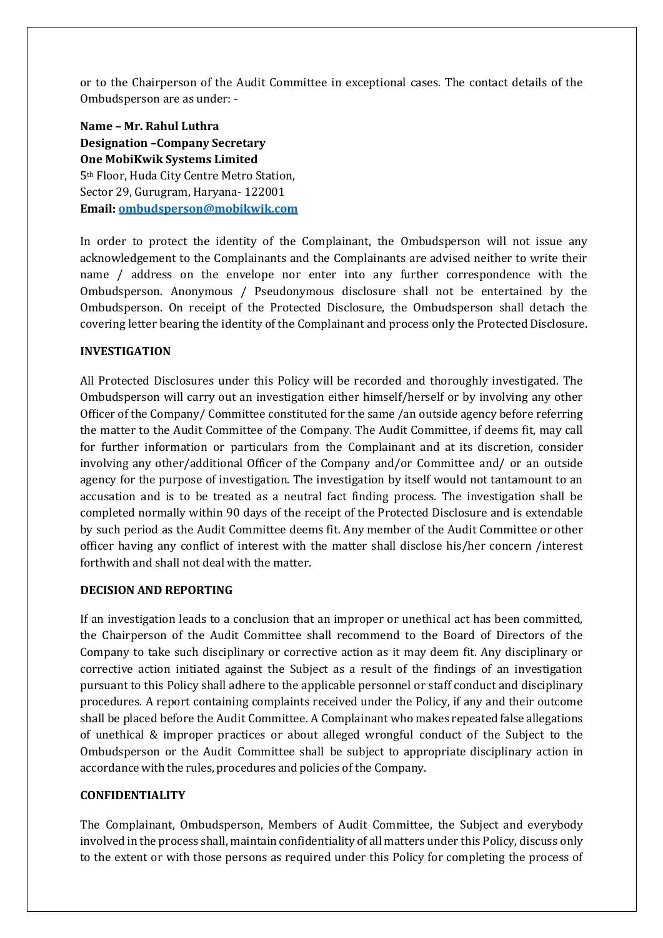or to the Chairperson of the Audit Committee in exceptional cases. The contact details of the Ombudsperson are as under: -

**Name – Mr. Rahul Luthra Designation –Company Secretary One MobiKwik Systems Limited** 5th Floor, Huda City Centre Metro Station, Sector 29, Gurugram, Haryana- 122001 **Email[: ombudsperson@mobikwik.com](mailto:ombudsperson@mobikwik.com)**

In order to protect the identity of the Complainant, the Ombudsperson will not issue any acknowledgement to the Complainants and the Complainants are advised neither to write their name / address on the envelope nor enter into any further correspondence with the Ombudsperson. Anonymous / Pseudonymous disclosure shall not be entertained by the Ombudsperson. On receipt of the Protected Disclosure, the Ombudsperson shall detach the covering letter bearing the identity of the Complainant and process only the Protected Disclosure.

## **INVESTIGATION**

All Protected Disclosures under this Policy will be recorded and thoroughly investigated. The Ombudsperson will carry out an investigation either himself/herself or by involving any other Officer of the Company/ Committee constituted for the same /an outside agency before referring the matter to the Audit Committee of the Company. The Audit Committee, if deems fit, may call for further information or particulars from the Complainant and at its discretion, consider involving any other/additional Officer of the Company and/or Committee and/ or an outside agency for the purpose of investigation. The investigation by itself would not tantamount to an accusation and is to be treated as a neutral fact finding process. The investigation shall be completed normally within 90 days of the receipt of the Protected Disclosure and is extendable by such period as the Audit Committee deems fit. Any member of the Audit Committee or other officer having any conflict of interest with the matter shall disclose his/her concern /interest forthwith and shall not deal with the matter.

## **DECISION AND REPORTING**

If an investigation leads to a conclusion that an improper or unethical act has been committed, the Chairperson of the Audit Committee shall recommend to the Board of Directors of the Company to take such disciplinary or corrective action as it may deem fit. Any disciplinary or corrective action initiated against the Subject as a result of the findings of an investigation pursuant to this Policy shall adhere to the applicable personnel or staff conduct and disciplinary procedures. A report containing complaints received under the Policy, if any and their outcome shall be placed before the Audit Committee. A Complainant who makes repeated false allegations of unethical & improper practices or about alleged wrongful conduct of the Subject to the Ombudsperson or the Audit Committee shall be subject to appropriate disciplinary action in accordance with the rules, procedures and policies of the Company.

## **CONFIDENTIALITY**

The Complainant, Ombudsperson, Members of Audit Committee, the Subject and everybody involved in the process shall, maintain confidentiality of all matters under this Policy, discuss only to the extent or with those persons as required under this Policy for completing the process of